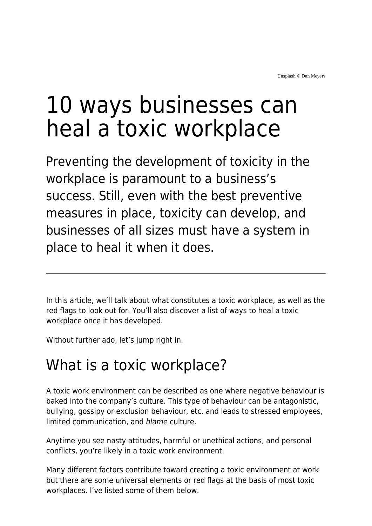# 10 ways businesses can heal a toxic workplace

Preventing the development of toxicity in the workplace is paramount to a business's success. Still, even with the best preventive measures in place, toxicity can develop, and businesses of all sizes must have a system in place to heal it when it does.

In this article, we'll talk about what constitutes a toxic workplace, as well as the red flags to look out for. You'll also discover a list of ways to heal a toxic workplace once it has developed.

Without further ado, let's jump right in.

## What is a toxic workplace?

A toxic work environment can be described as one where negative behaviour is baked into the company's culture. This type of behaviour can be antagonistic, bullying, gossipy or exclusion behaviour, etc. and leads to stressed employees, limited communication, and blame culture.

Anytime you see nasty attitudes, harmful or unethical actions, and personal conflicts, you're likely in a toxic work environment.

Many different factors contribute toward creating a toxic environment at work but there are some universal elements or red flags at the basis of most toxic workplaces. I've listed some of them below.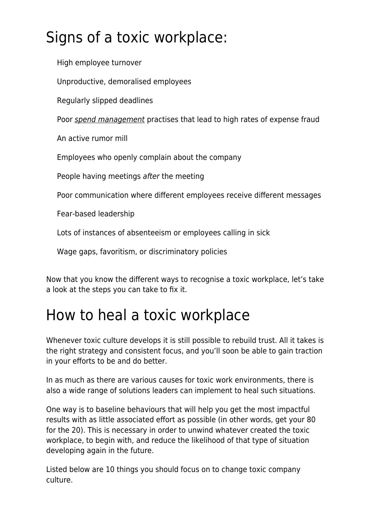# Signs of a toxic workplace:

High employee turnover

Unproductive, demoralised employees

Regularly slipped deadlines

Poor [spend management](https://www.fylehq.com/blog/spend-management) practises that lead to high rates of expense fraud

An active rumor mill

Employees who openly complain about the company

People having meetings after the meeting

Poor communication where different employees receive different messages

Fear-based leadership

Lots of instances of absenteeism or employees calling in sick

Wage gaps, favoritism, or discriminatory policies

Now that you know the different ways to recognise a toxic workplace, let's take a look at the steps you can take to fix it.

#### How to heal a toxic workplace

Whenever toxic culture develops it is still possible to rebuild trust. All it takes is the right strategy and consistent focus, and you'll soon be able to gain traction in your efforts to be and do better.

In as much as there are various causes for toxic work environments, there is also a wide range of solutions leaders can implement to heal such situations.

One way is to baseline behaviours that will help you get the most impactful results with as little associated effort as possible (in other words, get your 80 for the 20). This is necessary in order to unwind whatever created the toxic workplace, to begin with, and reduce the likelihood of that type of situation developing again in the future.

Listed below are 10 things you should focus on to change toxic company culture.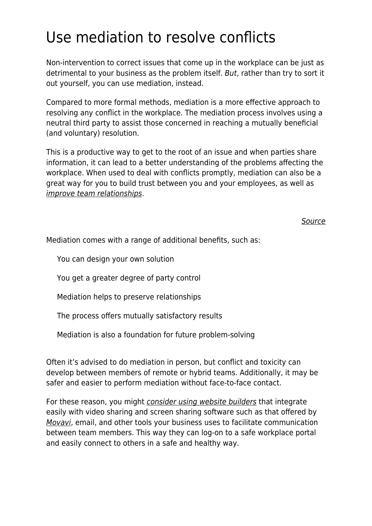# Use mediation to resolve conflicts

Non-intervention to correct issues that come up in the workplace can be just as detrimental to your business as the problem itself. But, rather than try to sort it out yourself, you can use mediation, instead.

Compared to more formal methods, mediation is a more effective approach to resolving any conflict in the workplace. The mediation process involves using a neutral third party to assist those concerned in reaching a mutually beneficial (and voluntary) resolution.

This is a productive way to get to the root of an issue and when parties share information, it can lead to a better understanding of the problems affecting the workplace. When used to deal with conflicts promptly, mediation can also be a great way for you to build trust between you and your employees, as well as [improve team relationships](https://www.maddyness.com/uk/2022/01/17/four-simple-ways-to-boost-your-teams-wellbeing-this-blue-monday/).

[Source](https://das.ohio.gov/http-dasohiogov-Divisions-HumanResources-BenefitsAdministration-EmployeeWorkplaceMediationProgramaspx)

Mediation comes with a range of additional benefits, such as:

You can design your own solution

You get a greater degree of party control

Mediation helps to preserve relationships

The process offers mutually satisfactory results

Mediation is also a foundation for future problem-solving

Often it's advised to do mediation in person, but conflict and toxicity can develop between members of remote or hybrid teams. Additionally, it may be safer and easier to perform mediation without face-to-face contact.

For these reason, you might *[consider using website builders](https://onehourprofessor.com/best-website-builders/)* that integrate easily with video sharing and screen sharing software such as that offered by [Movavi](https://www.movavi.com/), email, and other tools your business uses to facilitate communication between team members. This way they can log-on to a safe workplace portal and easily connect to others in a safe and healthy way.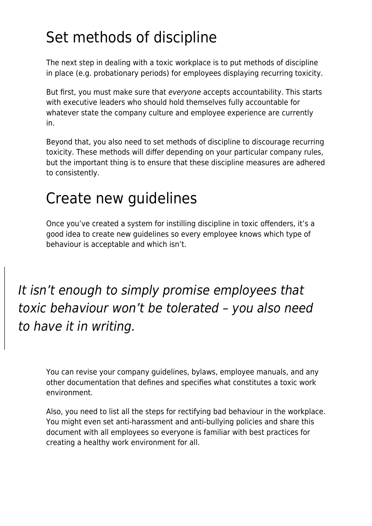# Set methods of discipline

The next step in dealing with a toxic workplace is to put methods of discipline in place (e.g. probationary periods) for employees displaying recurring toxicity.

But first, you must make sure that everyone accepts accountability. This starts with executive leaders who should hold themselves fully accountable for whatever state the company culture and employee experience are currently in.

Beyond that, you also need to set methods of discipline to discourage recurring toxicity. These methods will differ depending on your particular company rules, but the important thing is to ensure that these discipline measures are adhered to consistently.

## Create new guidelines

Once you've created a system for instilling discipline in toxic offenders, it's a good idea to create new guidelines so every employee knows which type of behaviour is acceptable and which isn't.

It isn't enough to simply promise employees that toxic behaviour won't be tolerated – you also need to have it in writing.

You can revise your company guidelines, bylaws, employee manuals, and any other documentation that defines and specifies what constitutes a toxic work environment.

Also, you need to list all the steps for rectifying bad behaviour in the workplace. You might even set anti-harassment and anti-bullying policies and share this document with all employees so everyone is familiar with best practices for creating a healthy work environment for all.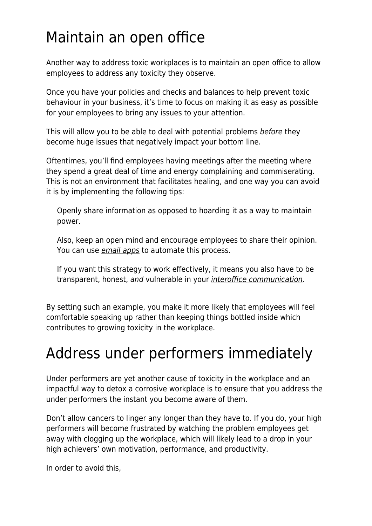## Maintain an open office

Another way to address toxic workplaces is to maintain an open office to allow employees to address any toxicity they observe.

Once you have your policies and checks and balances to help prevent toxic behaviour in your business, it's time to focus on making it as easy as possible for your employees to bring any issues to your attention.

This will allow you to be able to deal with potential problems before they become huge issues that negatively impact your bottom line.

Oftentimes, you'll find employees having meetings after the meeting where they spend a great deal of time and energy complaining and commiserating. This is not an environment that facilitates healing, and one way you can avoid it is by implementing the following tips:

Openly share information as opposed to hoarding it as a way to maintain power.

Also, keep an open mind and encourage employees to share their opinion. You can use [email apps](https://www.guru99.com/best-email-apps-windows-10.html) to automate this process.

If you want this strategy to work effectively, it means you also have to be transparent, honest, and vulnerable in your *[interoffice communication](https://www.brosix.com/blog/office-communication/)*.

By setting such an example, you make it more likely that employees will feel comfortable speaking up rather than keeping things bottled inside which contributes to growing toxicity in the workplace.

#### Address under performers immediately

Under performers are yet another cause of toxicity in the workplace and an impactful way to detox a corrosive workplace is to ensure that you address the under performers the instant you become aware of them.

Don't allow cancers to linger any longer than they have to. If you do, your high performers will become frustrated by watching the problem employees get away with clogging up the workplace, which will likely lead to a drop in your high achievers' own motivation, performance, and productivity.

In order to avoid this,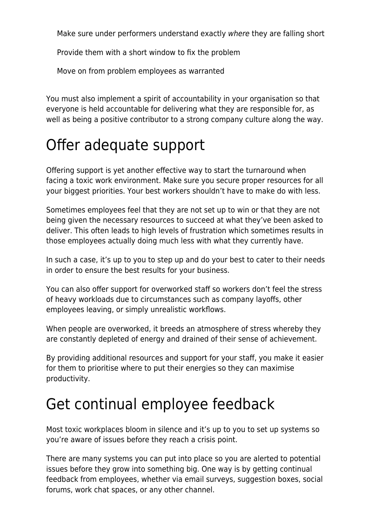Make sure under performers understand exactly where they are falling short

Provide them with a short window to fix the problem

Move on from problem employees as warranted

You must also implement a spirit of accountability in your organisation so that everyone is held accountable for delivering what they are responsible for, as well as being a positive contributor to a strong company culture along the way.

# Offer adequate support

Offering support is yet another effective way to start the turnaround when facing a toxic work environment. Make sure you secure proper resources for all your biggest priorities. Your best workers shouldn't have to make do with less.

Sometimes employees feel that they are not set up to win or that they are not being given the necessary resources to succeed at what they've been asked to deliver. This often leads to high levels of frustration which sometimes results in those employees actually doing much less with what they currently have.

In such a case, it's up to you to step up and do your best to cater to their needs in order to ensure the best results for your business.

You can also offer support for overworked staff so workers don't feel the stress of heavy workloads due to circumstances such as company layoffs, other employees leaving, or simply unrealistic workflows.

When people are overworked, it breeds an atmosphere of stress whereby they are constantly depleted of energy and drained of their sense of achievement.

By providing additional resources and support for your staff, you make it easier for them to prioritise where to put their energies so they can maximise productivity.

## Get continual employee feedback

Most toxic workplaces bloom in silence and it's up to you to set up systems so you're aware of issues before they reach a crisis point.

There are many systems you can put into place so you are alerted to potential issues before they grow into something big. One way is by getting continual feedback from employees, whether via email surveys, suggestion boxes, social forums, work chat spaces, or any other channel.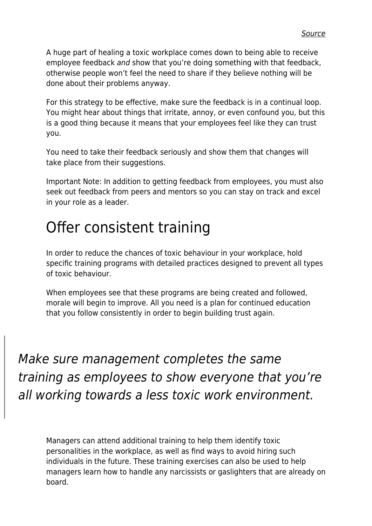A huge part of healing a toxic workplace comes down to being able to receive employee feedback and show that you're doing something with that feedback, otherwise people won't feel the need to share if they believe nothing will be done about their problems anyway.

For this strategy to be effective, make sure the feedback is in a continual loop. You might hear about things that irritate, annoy, or even confound you, but this is a good thing because it means that your employees feel like they can trust you.

You need to take their feedback seriously and show them that changes will take place from their suggestions.

Important Note: In addition to getting feedback from employees, you must also seek out feedback from peers and mentors so you can stay on track and excel in your role as a leader.

# Offer consistent training

In order to reduce the chances of toxic behaviour in your workplace, hold specific training programs with detailed practices designed to prevent all types of toxic behaviour.

When employees see that these programs are being created and followed, morale will begin to improve. All you need is a plan for continued education that you follow consistently in order to begin building trust again.

Make sure management completes the same training as employees to show everyone that you're all working towards a less toxic work environment.

Managers can attend additional training to help them identify toxic personalities in the workplace, as well as find ways to avoid hiring such individuals in the future. These training exercises can also be used to help managers learn how to handle any narcissists or gaslighters that are already on board.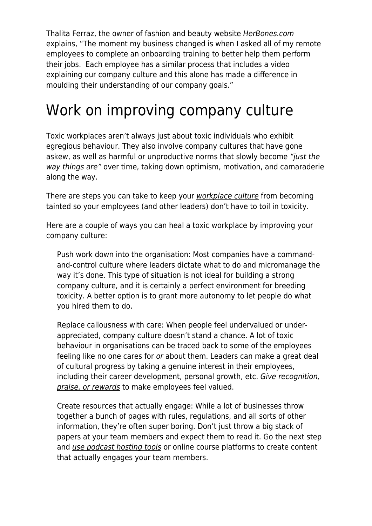Thalita Ferraz, the owner of fashion and beauty website [HerBones.com](https://herbones.com/) explains, "The moment my business changed is when I asked all of my remote employees to complete an onboarding training to better help them perform their jobs. Each employee has a similar process that includes a video explaining our company culture and this alone has made a difference in moulding their understanding of our company goals."

## Work on improving company culture

Toxic workplaces aren't always just about toxic individuals who exhibit egregious behaviour. They also involve company cultures that have gone askew, as well as harmful or unproductive norms that slowly become "just the way things are" over time, taking down optimism, motivation, and camaraderie along the way.

There are steps you can take to keep your [workplace culture](https://upcutstudio.com/startup-culture/) from becoming tainted so your employees (and other leaders) don't have to toil in toxicity.

Here are a couple of ways you can heal a toxic workplace by improving your company culture:

Push work down into the organisation: Most companies have a commandand-control culture where leaders dictate what to do and micromanage the way it's done. This type of situation is not ideal for building a strong company culture, and it is certainly a perfect environment for breeding toxicity. A better option is to grant more autonomy to let people do what you hired them to do.

Replace callousness with care: When people feel undervalued or underappreciated, company culture doesn't stand a chance. A lot of toxic behaviour in organisations can be traced back to some of the employees feeling like no one cares for or about them. Leaders can make a great deal of cultural progress by taking a genuine interest in their employees, including their career development, personal growth, etc. [Give recognition,](https://www.maddyness.com/uk/2022/01/15/show-your-team-you-care-7-ideas-for-employee-recognition-and-appreciation/) [praise, or rewards](https://www.maddyness.com/uk/2022/01/15/show-your-team-you-care-7-ideas-for-employee-recognition-and-appreciation/) to make employees feel valued.

Create resources that actually engage: While a lot of businesses throw together a bunch of pages with rules, regulations, and all sorts of other information, they're often super boring. Don't just throw a big stack of papers at your team members and expect them to read it. Go the next step and [use podcast hosting tools](https://www.onehourprofessor.com/best-podcast-hosting-platforms/) or online course platforms to create content that actually engages your team members.